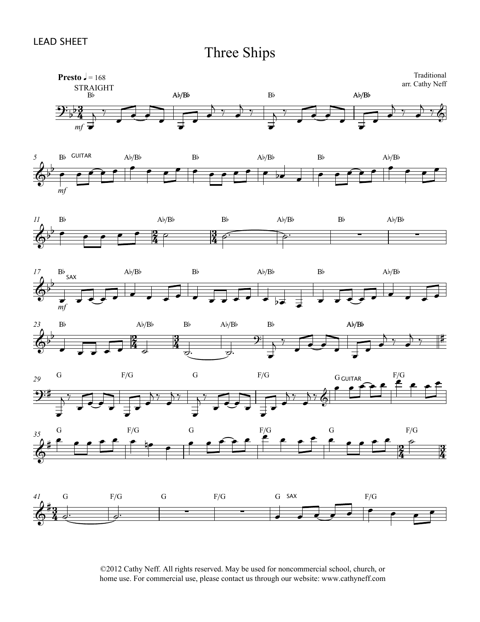















©2012 Cathy Neff. All rights reserved. May be used for noncommercial school, church, or home use. For commercial use, please contact us through our website: www.cathyneff.com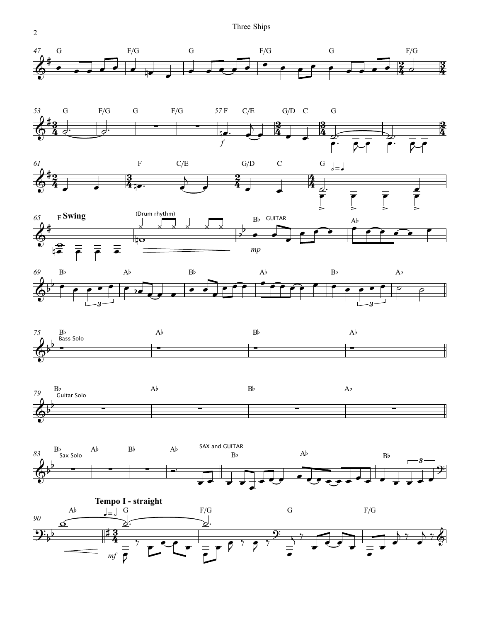Three Ships



2